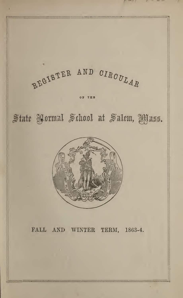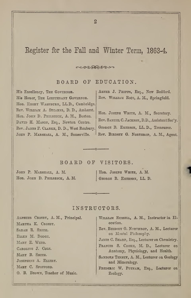# Register for the Fall and Winter Term, 1863-4.

 $\sim$ 

BOARD OF EDUCATION.

His Excellency, The Governor. His Honor, THE LIEUTENANT GOVERNOR. Hon. EMORY WASHBURN, LL.D., Cambridge. Rev. William A. Stearns, D. D., Amherst. Hon. JOHN D. PHILBRICK, A. M., Boston. DAVID H. MASON, Esq., Newton Centre. Rev. James F. Clarke, D. D., West Roxburj. JOHN P. MARSHALL, A. M., Somerville.

ABNER J. PHIPPS, Esq., New Bedford. Rev. WILLIAM RICE, A. M., Springfield.

Hon. JOSEPH WHITE, A. M., Secretary. Rev. Samuel C. Jackson, D.D., Assistant Sec'y. GEORGE B. EMERSON, LL.D., Treasurer. Rev. BiRDSET G. Northrop, A. M., Agent.

## BOARD OF VISITORS.

JOHN P. MARSHALL, A. M. Hon. JOHN D. PHILBRICK, A. M. Hon. Joseph White, A. M. George B. Emerson, LL. D.

## INSTRUCTORS.

ALPHEUS CROSBY, A. M., Principal. Martha K. Crosby. Sarah R. Smith. Ellen M. Dodge. MARY E. WEBB. Caroline J. Cole. Mary B. Smith. Josephine A. Ellery. MARY C. SPOFFORD. 0. B. Brown, Teacher of Music.

William Russell, A. M., Instructor in Elocution.

Rev. Birdsey G. Northrop, A. M., Lecturer on M3ntal Philosophy.

James C. Sharp, Esq., Lecturer on Chemistry.

Frances S. Cooke, M. D., Lecturer on Anatomy, Physiology, and Health.

SANBORN TENNEY, A. M., Lecturer on Geology and Mineralogy.

Frederic W. Putnam, Esq., Lecturer on Zoology.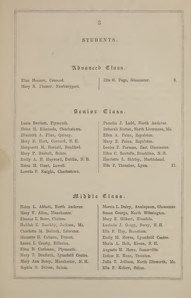## STUDENTS

## Advanced Class.

Eliza Hosmer, Concord. Mary N. Plumer, Newburyport.

## Ella G. Page, Gloucester.

Senior Class.

Lucia Bartlett, Plymouth. Helen M. Edmands, Charlestown. Elizabeth A. Flint, Quincy. Mary D. Hart, Concord, N. H. Margarett M. Haskell, Bradford. Mary P. Haskell, Salem. Emily A. H. Hayward, Dublin, N.' H. Helen M. Hunt, Lowell. Loretta F. Knight, Charlestown.

Pamelia J. Ladd, North Andover. Deborah Norton, North Livermore, Me. Ellen A. Paine, Royalston. Mary E. Paine, Royalston. Louise F. Parsons, East Gloucester. Ellen C. Sawtelle, Brookline, N. H. Harriette L. Shirley, Marblehead. Ella F. Thrasher, Lynn. 17.

3.

## iHiirbU Oriass.

Helen L. Abbott, North Andover. Mary V. Allen, Manchester. Eleanor E. Boies, Chelsea. Huldah E. Boothby, Jackson, Me. Charlotte M. Bullock, Leicester. Marzette H. Coburn, Dracut. Laura I. Crosby, Billerica. Ellen B. Cushman, Plymouth. Mary T. Danforth, Lynnfield Centre. Mary Ann Dotey, Manchester, N. H. Sophia 0. Driver, Salem.

Marcia L. Duley, Annisquam, Gloucester. Susan George, North Wilmington. Mary E. Gilbert, Hinsdale. Lucinda J. Gregg, Derry, N. H. Ella F. Hay, Stoneham. Emily M. Hewes, Lynnfield Centre. Maria A. Holt, Keene, N. H. Augusta M. Howe, Somerville. Esther E. Hunt, Taunton. Julia T. Jellison, North Ellsworth, Me. Ella F. Kehew, Salem.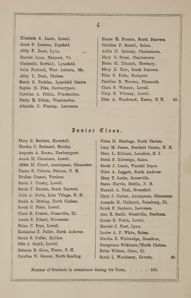Elizabeth S. Lamb, Lowell. Anna S. Lamson, Topsfield. Abby F. Lane, Lynn. Harriet Lane, Newport, Vt. Cinderella Newhall, Lynnfield. Julia Packard, West Auburn, Me. Abby L. Peak, Chelsea. Sarah S. Perkins, Lynnfield Centre. Sophia M. Pike, Newburyport. Caroline A. Pitkin, Winchendon. Emily R. Pitkin, Winchendon. Adelaide C. Plumley, Lawrence.

Emma H. Proctor, South Danvers. Caroline P. Rowell, Salem. Addie M. Spinney, Charlestown. Mary G. Stone, Charlestown. Helen M. Titcomb, Newbury. Mary E. Torr, South Danvers. Eliza S. Tufts, Rockport. Caroline B. Warren, Plymouth. Clara S. Webster, Lowell. Mary E. Whitney, Lowell. Elsie A. Woodward, Keene, N. H. 45.

## Junior Class.

Mary E. Bartlett, Haverhill. Martha C. Brainerd, Halifax. Augusta A. Brown, Newburyport. Annie M. Chambers, Lowell. Abbie M. Chard, Annisquam, Gloucester. Emma D. Coburn, Pelham, N. H. Eveline Conant, Wenham. Sarah J. Crosby, Lowell. Sarah F. Daniels, South Danvers. Julia A. Davis, Lake Village, N. H. Sarah A. Dewing, North Chelsea. Sarah C. Fiske, Lowell. Clara B. French, Greenville, 111. Annie E. Friend, Gloucester. Helen C. Frye, Lowell. Katharine T. Fuller, North Andover. Sarah S. Fuller, Halifax. Effie J. Gould, Lowell. Rebecca B. Gove, Weare, N. H.

Caroline W. Graves, North Reading.

Helen M. Hastings, North Chelsea. Lucy M. James, Deerfield Centre, N. H. Mary L. Kilburn, Lonsdale, R. I. Sarah S. Kittredge, Salem. Sarah J. Leach, Wendell Depot. Olive A. Leggett, North Andover. Mary T. Locke, Somerville. Susan Marvin, Dublin, N. H. Hannah A. Nash, Greenfield. Mary J. Parker, Annisquam, Gloucester. Amanda M. Philbrick, Galesburg, HI. Sarah P. Sanborn, Lawrence. Ann B. Smith, Grantville, Needham. Emma R. Welch, Lowell. Harriet J. West, Lynn. Louise A. P. White, Salem. Martha E. Whittredge, Hamilton, Georgianna Wilkinson, North Chelsea. Helen Willson, Como, 111. Sarah L. Woodberry, Peverly. 40.

Number of Students in attendance during the Term, . . . . 105.

## $\overline{4}$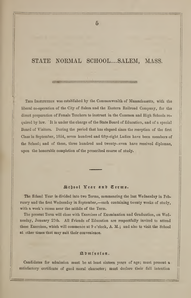## STATE NORMAL SCHOOL.... SALEM, MASS.

THIS INSTITUTION was established by the Commonwealth of Massachusetts, with the liberal co-operation of the City of Salem and the Eastern Railroad Company, for the direct preparation of Female Teachers to instruct in the Common and High Schools re quired by law. It is under the charge of the State Board of Education, and of a special Board of Visitors. During the period that has elapsed since the reception of the first Class in September, 1854, seven hundred and fifty-eight Ladies have been members of the School; and of these, three hundred and twenty-seven have received diplomas, upon the honorable completion of the prescribed course of study.

## School Year and Terms.

The Sohool Year is divided into two Terms, commencing the last Wednesday in February and the first Wednesday in September,—each containing twenty weeks of study, with a week's recess near the middle of the Term.

The present Term will close with Exercises of Examination and Graduation, on Wednesday, January 27th. All Friends of Education are respectfully invited to attend these Exercises, which will commence at 9 o'clock, A. M. ; and also to visit the School at other times that may suit their convenience.

## SlUmf ssf on.

Candidates for admission must be at least sixteen years of age; must present a satisfactory certificate of good moral character; must declare their fall intention

 $\overline{5}$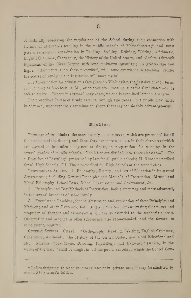of faithfully observing the regulations of the S2hool during their connection with. it, and of afterwards teaching in the public schools of Massachusetts;\* and must pass a satisfactory examination in Reading, Spelling, Defining, Writing, Arithmetic, English Grammar, Geography, the History of the United States, and Algebra (through Equations of the First Degree with »one unknown quantity.) A greater age and higher attainments than those prescribed, with some experience in teaching, render the course of study in the Institution still more useful.

The Examination for admission takes place on Wednesday, the first day of each term, commencing at 8 o'clock, A. M., or as soon after that hour as the Candidates may be able to arrive. Except in extraordinary cases, no one is examined later in the term.

The prescribed Course of Study extends through two years ; but pupils may enter in advance, whenever their examination shows that they can do this advantageously.

### Studies.

These are of two kinds : the more strictly provessional, which are prescribed for all the members of the School; and those that are more GENERAL in their character, which arc pursued as the students may need or desire, in preparation for teaching in the several grades of public schools. The latter are divided into three classes :- I. The " Branches of Learning" prescribed by law for all public schools; II. Those prescribed for all High Schools; III. Those prescribed for High Schools of the second class.

PROFESSIONAL STUDIES. 1. Philosophy, History, and Art of Education in its several departments; including General Principles and Methods of Instruction, Mental and Moral Philosophy, School Laws, School Organization and Government, &c.

2. Principles and Best Methods of Instruction, both elementary and more advanced, in the several branches of school study.

S. Exercises in Teaching, for the illustration and application of these Principles and Methods; and other Exercises, both Oral and Written, for cultivating that power and propriety of thought and expression which are so essential to the teacher's success. Observation and practice in other schools are also recommended, and the former, to Eome extent, required.

General Studies. Class I. "Orthography, Reading, Writing, English Grammar, Geography, Arithmetic, the History of the United States, and Good Behavior ; and also "Algebra, Vocal Music, Drawing, Physiology, and Hygiene," (which, in the words of the law, " shall be taught in all the public schools in which the School Com-

\* Ladies designing to teach in other States or in private schools may be admitted by paying 515 a term for tuition.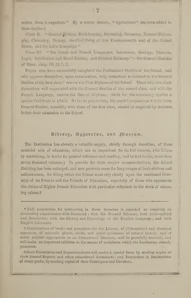mittee deem it expedient." By a recent statute, "Agriculture" has been added to these studies.)

Clas II. " General JEstory, Bock-keeping, Surveying, Geemetry, Natural Philesophy, Chemistry, Botany, the Civil Polity of this Commonwealth and of the United States, and the Latin Linguage."

Class III. "The Greek and French Languages, Astronomy, Geology, Rhetoric, Logie, Intellectual and Moral Science, and Political Economy."-See General Statutes of Mass., chap. 38, §§ 1, 2.

Pupils who have successfully completed the Professional Studies of the School, and who approve themselves, upon examination, fully competent to instruct in the General Studies of the first class,\* receive the First Diploma of the School. Those who also show themselves well acquainted with the General Studies of the second class, and with the French Language, receive the Second Diplema ; while for the remaining studies a special Certificate is added. So far as practicable, the needed asquaintan e with these General Studies, especially with those of the first class, should be acquired by students before their admission to the School.

## Albrary, Apparatus, and Museum.

The Institution has already a valuable supply, chiefly through donation, of these material aids of education, which are so important for its full success, (the Library containing, in works for general reference and reading, and in text-becks, more than seven thousand volumes.) To provide for them ampler accommodations, the School Building has been enlarged, and now presents room for long ranges of book-shelves and cabinet-cases, for filling which the School must rely chiefly upon the continued liberality of its Friends and the Friends of Education, especially of those who appreciate the claims of Higher Female Education with particular reference to the work of educaing others.t

<sup>\*</sup> Full preparation for instructing in these branches is regarded as requiring an elementary acquaintance with Geometry; with the Natural Sciences, both philosophical and descriptive; with the History and Etymology of the English Language; and with English Literature.

<sup>†</sup> Contributions of books and pamphlets for the Library, of philosophical and chemical apparatus, of minerals, plants, shells, and other specimens of natural history, and of other articles appropriate to an Educational Museum, will be gratefully received, and will make an important addition to the means of usefulness which the Institution already possesses.

School Committees and Superintendents will confer a special favor by sending copies of their Annual Reports and other educational documents; and Instructors in Institutions of every grade, by sending copies of their Catalogues and Circulars.